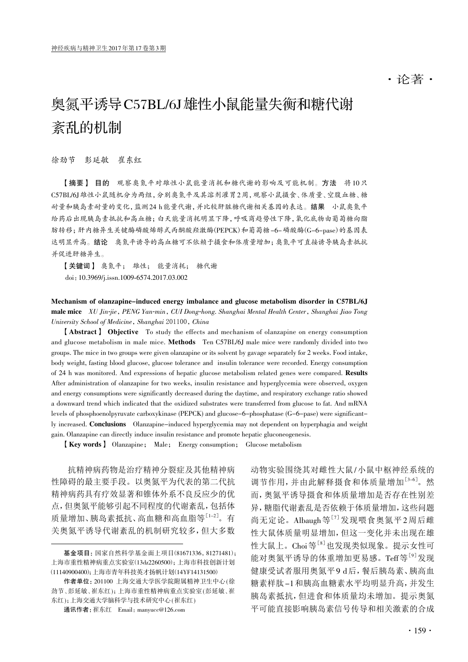## ·论著·

# 奥氮平诱导C57BL/6J雄性小鼠能量失衡和糖代谢 紊乱的机制

徐劲节 彭延敏 崔东红

【摘要】 目的 观察奥氮平对雄性小鼠能量消耗和糖代谢的影响及可能机制。方法 将10只 C57BL/6J雄性小鼠随机分为两组,分别奥氮平及其溶剂灌胃2周,观察小鼠摄食、体质量、空腹血糖、糖 耐量和胰岛素耐量的变化,监测24 h能量代谢,并比较肝脏糖代谢相关基因的表达。结果 小鼠奥氮平 给药后出现胰岛素抵抗和高血糖;白天能量消耗明显下降,呼吸商趋势性下降,氧化底物由葡萄糖向脂 肪转移;肝内糖异生关键酶磷酸烯醇式丙酮酸羟激酶(PEPCK)和葡萄糖-6-磷酸酶(G-6-pase)的基因表 达明显升高。结论 奥氮平诱导的高血糖可不依赖于摄食和体质量增加;奥氮平可直接诱导胰岛素抵抗 并促进肝糖异生。

【关键词】 奥氮平; 雄性; 能量消耗; 糖代谢 doi:10.3969/j.issn.1009-6574.2017.03.002

Mechanism of olanzapine-induced energy imbalance and glucose metabolism disorder in C57BL/6J male mice XU Jin-jie, PENG Yan-min, CUI Dong-hong. Shanghai Mental Health Center, Shanghai Jiao Tong University School of Medicine, Shanghai 201100, China

【Abstract】 Objective To study the effects and mechanism of olanzapine on energy consumption and glucose metabolism in male mice. Methods Ten C57BL/6J male mice were randomly divided into two groups. The mice in two groups were given olanzapine or its solvent by gavage separately for 2 weeks. Food intake, body weight, fasting blood glucose, glucose tolerance and insulin tolerance were recorded. Energy consumption of 24 h was monitored. And expressions of hepatic glucose metabolism related genes were compared. Results After administration of olanzapine for two weeks, insulin resistance and hyperglycemia were observed, oxygen and energy consumptions were significantly decreased during the daytime, and respiratory exchange ratio showed a downward trend which indicated that the oxidized substrates were transferred from glucose to fat. And mRNA levels of phosphoenolpyruvate carboxykinase (PEPCK) and glucose-6-phosphatase (G-6-pase) were significantly increased. Conclusions Olanzapine-induced hyperglycemia may not dependent on hyperphagia and weight gain. Olanzapine can directly induce insulin resistance and promote hepatic gluconeogenesis.

【Key words】 Olanzapine; Male; Energy consumption; Glucose metabolism

抗精神病药物是治疗精神分裂症及其他精神病 性障碍的最主要手段。以奥氮平为代表的第二代抗 精神病药具有疗效显著和锥体外系不良反应少的优 点,但奥氮平能够引起不同程度的代谢紊乱,包括体 质量增加、胰岛素抵抗、高血糖和高血脂等[1-2] 。有 关奥氮平诱导代谢紊乱的机制研究较多,但大多数

动物实验围绕其对雌性大鼠/小鼠中枢神经系统的 调节作用,并由此解释摄食和体质量增加[3-6] 。然 而,奥氮平诱导摄食和体质量增加是否存在性别差 异,糖脂代谢紊乱是否依赖于体质量增加,这些问题 尚无定论。Albaugh等[7]发现喂食奥氮平2周后雌 性大鼠体质量明显增加,但这一变化并未出现在雄 性大鼠上。Choi等<sup>[8]</sup>也发现类似现象。提示女性可 能对奥氮平诱导的体重增加更易感。Teff等<sup>[9]</sup>发现 健康受试者服用奥氮平9 d后,餐后胰岛素、胰高血 糖素样肽-1和胰高血糖素水平均明显升高,并发生 胰岛素抵抗,但进食和体质量均未增加。提示奥氮 平可能直接影响胰岛素信号传导和相关激素的合成

基金项目:国家自然科学基金面上项目(81671336,81271481); 上海市重性精神病重点实验室(13dz2260500);上海市科技创新计划 (11140900400);上海市青年科技英才扬帆计划(14YF14131500)

作者单位:201100 上海交通大学医学院附属精神卫生中心(徐 劲节、彭延敏、崔东红);上海市重性精神病重点实验室(彭延敏、崔 东红);上海交通大学脑科学与技术研究中心 (崔东红)

通讯作者:崔东红 Email: manyucc@126.com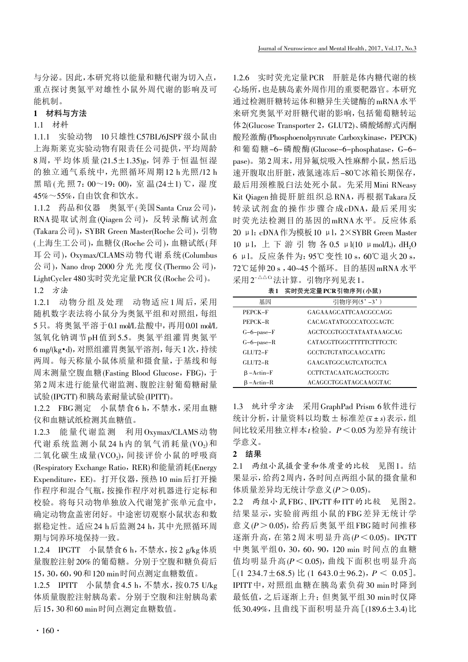与分泌。因此,本研究将以能量和糖代谢为切入点, 重点探讨奥氮平对雄性小鼠外周代谢的影响及可 能机制。

#### 1 材料与方法

#### 1.1 材料

1.1.1 实验动物 10只雄性C57BL/6JSPF级小鼠由 上海斯莱克实验动物有限责任公司提供,平均周龄 8 周,平均体质量(21.5±1.35)g,饲养于恒温恒湿 的独立通气系统中,光照循环周期12 h光照/12 h 黑暗(光照7:00~19:00),室温(24±1) ℃,湿度 45%~55%,自由饮食和饮水。

1.1.2 药品和仪器 奥氮平(美国Santa Cruz公司), RNA提取试剂盒(Qiagen公司),反转录酶试剂盒 (Takara公司), SYBR Green Master(Roche公司), 引物 (上海生工公司),血糖仪(Roche公司),血糖试纸(拜 耳公司),Oxymax/CLAMS动物代谢系统(Columbus 公司),Nano drop 2000 分光光度仪(Thermo公司), LightCycler 480实时荧光定量PCR仪(Roche公司)。

1.2 方法

1.2.1 动物分组及处理 动物适应1周后,采用 随机数字表法将小鼠分为奥氮平组和对照组,每组 5只。将奥氮平溶于0.1 mol/L盐酸中,再用0.01 mol/L 氢氧化钠调节pH值到5.5。奥氮平组灌胃奥氮平 6 mg/(kg·d),对照组灌胃奥氮平溶剂,每天1次,持续 两周。每天称量小鼠体质量和摄食量,于基线和每 周末测量空腹血糖(Fasting Blood Glucose, FBG),于 第2周末进行能量代谢监测、腹腔注射葡萄糖耐量 试验(IPGTT)和胰岛素耐量试验(IPITT)。

1.2.2 FBG测定 小鼠禁食6 h,不禁水,采用血糖 仪和血糖试纸检测其血糖值。

1.2.3 能量代谢监测 利用Oxymax/CLAMS动物 代谢系统监测小鼠24 h内的氧气消耗量(VO2)和 二氧化碳生成量(VCO2), 间接评价小鼠的呼吸商 (Respiratory Exchange Ratio, RER)和能量消耗(Energy Expenditure, EE)。打开仪器,预热10 min后打开操 作程序和混合气瓶,按操作程序对机器进行定标和 校验。将每只动物单独放入代谢笼扩张单元盒中, 确定动物盒盖密闭好。中途密切观察小鼠状态和数 据稳定性。适应24 h后监测24 h,其中光照循环周 期与饲养环境保持一致。

1.2.4 IPGTT 小鼠禁食6 h,不禁水,按2 g/kg体质 量腹腔注射20%的葡萄糖。分别于空腹和糖负荷后 15,30,60,90和120 min时间点测定血糖数值。

1.2.5 IPITT 小鼠禁食4.5 h,不禁水,按0.75 U/kg 体质量腹腔注射胰岛素。分别于空腹和注射胰岛素 后15,30和60 min时间点测定血糖数值。

1.2.6 实时荧光定量PCR 肝脏是体内糖代谢的核 心场所,也是胰岛素外周作用的重要靶器官。本研究 通过检测肝糖转运体和糖异生关键酶的mRNA水平 来研究奥氮平对肝糖代谢的影响,包括葡萄糖转运 体2(Glucose Transporter 2, GLUT2)、磷酸烯醇式丙酮 酸羟激酶(Phosphoenolpyruvate Carboxykinase, PEPCK) 和葡萄糖-6-磷酸酶(Glucose-6-phosphatase, G-6 pase)。第2周末,用异氟烷吸入性麻醉小鼠,然后迅 速开腹取出肝脏,液氮速冻后-80℃冰箱长期保存, 最后用颈椎脱臼法处死小鼠。先采用Mini RNeasy Kit Qiagen抽提肝脏组织总RNA,再根据Takara反 转录试剂盒的操作步骤合成cDNA,最后采用实 时荧光法检测目的基因的mRNA水平。反应体系 20 μl:cDNA作为模板10 μl, 2×SYBR Green Master 10 μl, 上 下 游 引 物 各 0.5 μl(10 μmol/L), dH<sub>2</sub>O 6 μl。反应条件为:95℃变性10 s,60℃退火20 s, 72℃延伸20 s ,40~45个循环。目的基因mRNA水平 采用2-△△Ct法计算。引物序列见表1。

表1 实时荧光定量PCR引物序列(小鼠)

| 基因               | 引物序列(5'-3')                  |
|------------------|------------------------------|
| PEPCK-F          | GAGAAAGCATTCAACGCCAGG        |
| PEPCK-R          | CACAGATATGCCCATCCGAGTC       |
| $G-6$ -pase- $F$ | AGCTCCGTGCCTATAATAAAGCAG     |
| $G-6$ -pase-R    | CATACGTTGGCTTTTTCTTTCCTC     |
| GLUT2-F          | <b>GCCTGTGTATGCAACCATTG</b>  |
| $GLUT2-R$        | <b>GAAGATGGCAGTCATGCTCA</b>  |
| $\beta$ -Actin-F | <b>CCTTCTACAATGAGCTGCGTG</b> |
| $B - Actin-R$    | ACAGCCTGGATAGCAACGTAC        |

1.3 统计学方法 采用GraphPad Prism 6软件进行 统计分析,计量资料以均数±标准差(x±s)表示,组 间比较采用独立样本t检验。P<0.05为差异有统计 学意义。

#### 2 结果

2.1 两组小鼠摄食量和体质量的比较 见图1。结 果显示,给药2周内,各时间点两组小鼠的摄食量和 体质量差异均无统计学意义(P > 0.05)。

2.2 两组小鼠FBG、IPGTT和ITT的比较 见图2。 结果显示,实验前两组小鼠的FBG差异无统计学 意义( $P > 0.05$ ), 给药后奥氮平组FBG随时间推移 逐渐升高,在第2周末明显升高 $(P < 0.05)$ 。IPGTT 中奥氮平组0,30,60,90,120 min 时间点的血糖 值均明显升高(P<0.05),曲线下面积也明显升高 [ $(1\ 234.7\pm68.5)$  比  $(1\ 643.0\pm96.2)$ ,  $P \leq 0.05$ ]. IPITT中,对照组血糖在胰岛素负荷30 min时降到 最低值,之后逐渐上升;但奥氮平组30 min时仅降 低30.49%,且曲线下面积明显升高[(189.6±3.4)比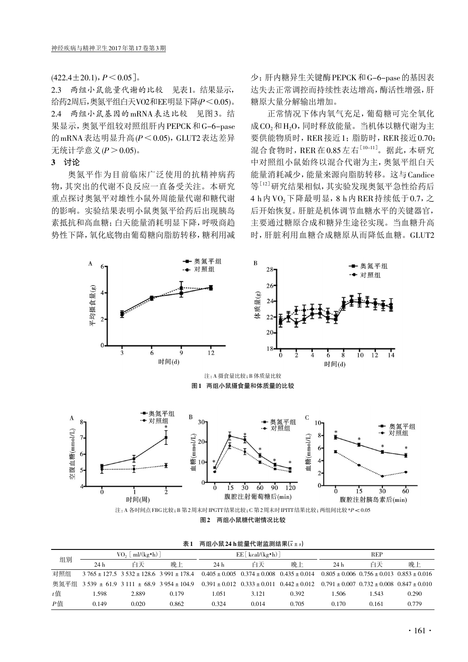$(422.4 \pm 20.1), P \le 0.05$ ].

2.3 两组小鼠能量代谢的比较 见表1。结果显示, 给药2周后,奥氮平组白天VO2和EE明显下降(P<0.05)。 2.4 两组小鼠基因的mRNA表达比较 见图3。结 果显示,奥氮平组较对照组肝内PEPCK和G-6-pase 的mRNA表达明显升高 $(P < 0.05)$ , GLUT2表达差异 无统计学意义 $(P > 0.05)$ 。

### 3 讨论

奥氮平作为目前临床广泛使用的抗精神病药 物,其突出的代谢不良反应一直备受关注。本研究 重点探讨奥氮平对雄性小鼠外周能量代谢和糖代谢 的影响。实验结果表明小鼠奥氮平给药后出现胰岛 素抵抗和高血糖;白天能量消耗明显下降,呼吸商趋 势性下降,氧化底物由葡萄糖向脂肪转移,糖利用减 少;肝内糖异生关键酶PEPCK和G-6-pase的基因表 达失去正常调控而持续性表达增高,酶活性增强,肝 糖原大量分解输出增加。

正常情况下体内氧气充足,葡萄糖可完全氧化 成CO<sub>2</sub>和H<sub>2</sub>O,同时释放能量。当机体以糖代谢为主 要供能物质时,RER接近1;脂肪时,RER接近0.70; 混合食物时, RER 在 0.85 左右<sup>[10-11]</sup>。据此, 本研究 中对照组小鼠始终以混合代谢为主,奥氮平组白天 能量消耗减少,能量来源向脂肪转移。这与Candice 等[12] 研究结果相似,其实验发现奥氮平急性给药后 4 h内 VO<sub>2</sub>下降最明显, 8 h内 RER 持续低于 0.7, 之 后开始恢复。肝脏是机体调节血糖水平的关键器官, 主要通过糖原合成和糖异生途径实现。当血糖升高 时,肝脏利用血糖合成糖原从而降低血糖。GLUT2



图2 两组小鼠糖代谢情况比较

| 组别                    | $VO2 \mid ml/(kg \cdot h) \mid$ |       | $EE[$ kcal/(kg $\cdot$ h)]                                                            |                 |       | <b>REP</b>                                            |                                                       |       |       |
|-----------------------|---------------------------------|-------|---------------------------------------------------------------------------------------|-----------------|-------|-------------------------------------------------------|-------------------------------------------------------|-------|-------|
|                       | 24h                             | 白天    | 晚上                                                                                    | 24 <sub>h</sub> | 白天    | 晚上                                                    | 24 h                                                  | 白天    | 晚上    |
| 对照组                   |                                 |       | $3.765 \pm 127.5$ $3.532 \pm 128.6$ $3.991 \pm 178.4$                                 |                 |       | $0.405 \pm 0.005$ $0.374 \pm 0.008$ $0.435 \pm 0.014$ | $0.805 \pm 0.006$ $0.756 \pm 0.013$ $0.853 \pm 0.016$ |       |       |
|                       |                                 |       | 奥氮平组 3539 ± 61.9 3 111 ± 68.9 3 954 ± 104.9 0.391 ± 0.012 0.333 ± 0.011 0.442 ± 0.012 |                 |       |                                                       | $0.791 + 0.007$ $0.732 + 0.008$ $0.847 + 0.010$       |       |       |
| $t \ddot{\mathbf{H}}$ | .598                            | 2.889 | 0.179                                                                                 | 1.051           | 3.121 | 0.392                                                 | 1.506                                                 | 543   | 0.290 |
| P值                    | 0.149                           | 0.020 | 0.862                                                                                 | 0.324           | 0.014 | 0.705                                                 | 0.170                                                 | 0.161 | 0.779 |